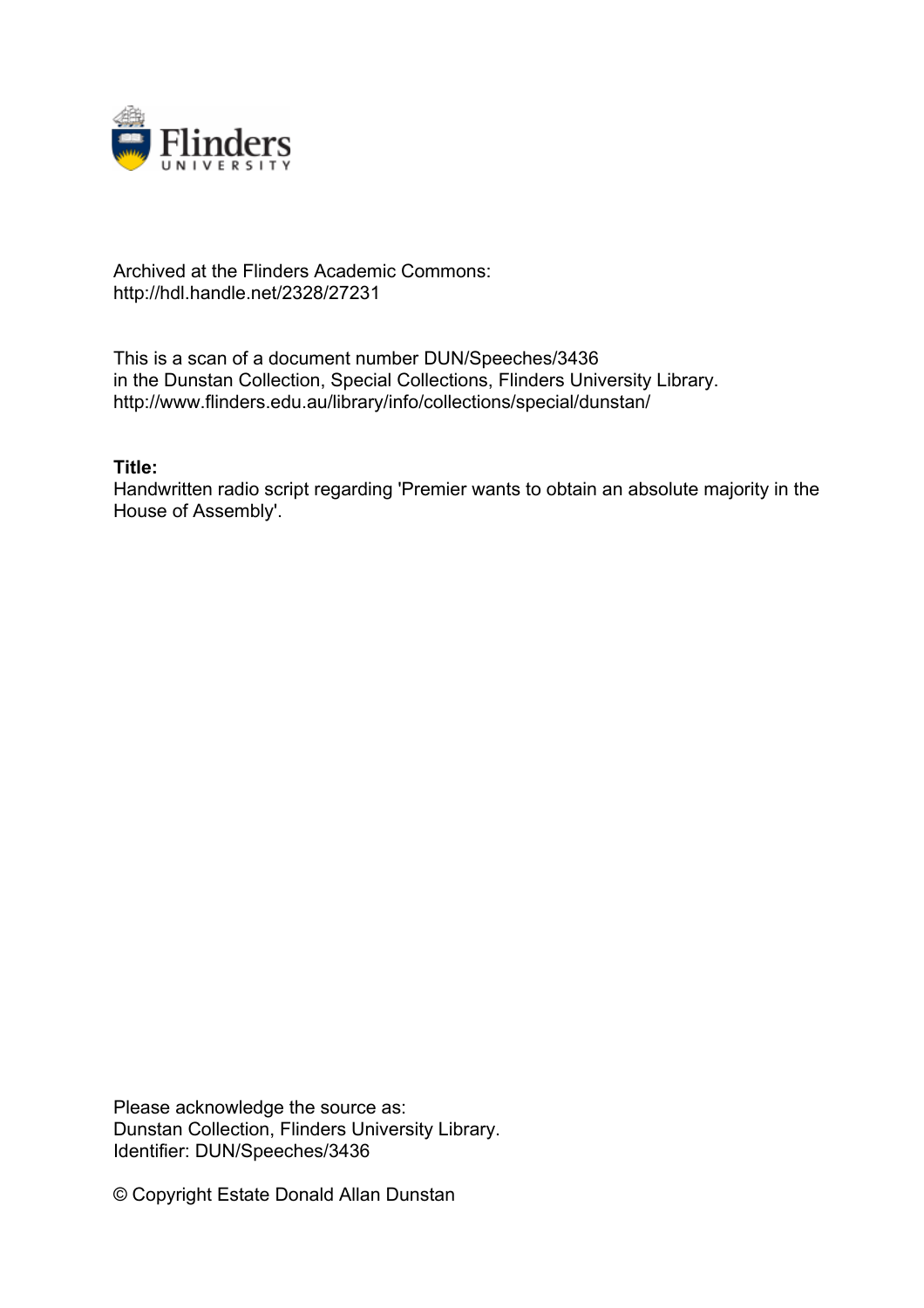

## Archived at the Flinders Academic Commons: http://hdl.handle.net/2328/27231

This is a scan of a document number DUN/Speeches/3436 in the Dunstan Collection, Special Collections, Flinders University Library. http://www.flinders.edu.au/library/info/collections/special/dunstan/

## **Title:**

Handwritten radio script regarding 'Premier wants to obtain an absolute majority in the House of Assembly'.

Please acknowledge the source as: Dunstan Collection, Flinders University Library. Identifier: DUN/Speeches/3436

© Copyright Estate Donald Allan Dunstan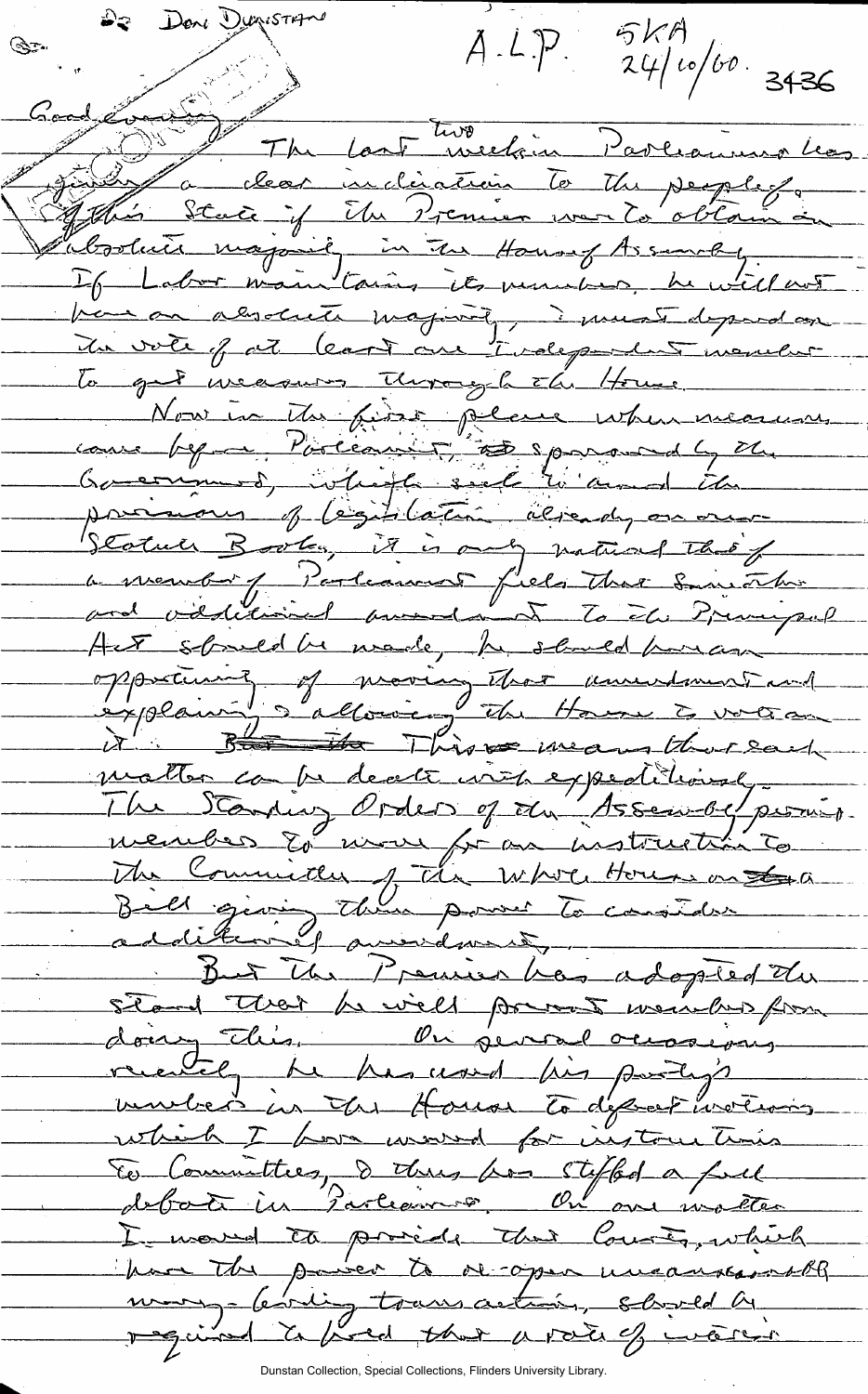Deni Dunistrin<sup>o</sup> らんり  $A.L.P.$  $24/10/60.3436$ يتوجي Cool Constant The Last Westin Parliamentos If Labor maintains its much be will not han an alwaysing, investidaymed In vote of at least one tirdependent monder To get weaver through the House Nou in Mr first pleue when means cause beginne Porceaux 15 espacement 4 M proient of legislatin already on our Statuer Books, it is only natural that a meure / Parlement fiels that Smithan Her should be wade, by should parame opportunit of moving that unwidmentand B<del>u de T</del>his pe means that said matter compe de cette init expeditional member 20 mois from unstruction to The Committee of the Whole House on the But the Premier has adopted the stand that he will prevent weight for doing this, On several occasions vendred in In House To depres ivertions which I how would for instructions E Committee, d'Une suffer a full I would to princip that County, which have the paiser to decoper uncoursements mong- (evilige transaction, should be required to fixed that a rate of waren

Dunstan Collection, Special Collections, Flinders University Library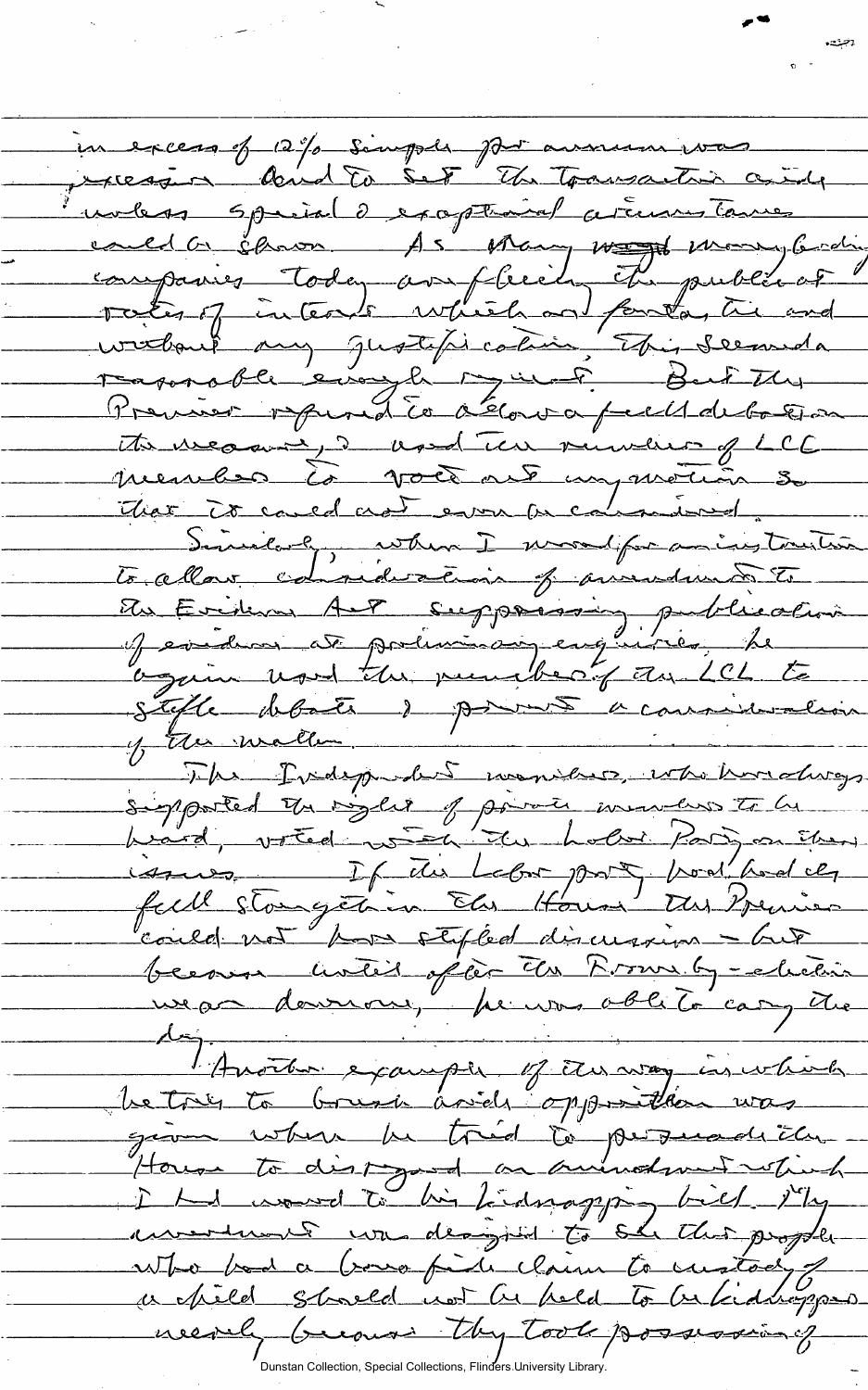*-CS^JS^S*  —rrS . unbess speciale exaptional atennes tames Today — Premier reprond le déloura peult de botton Auenches à voir riveir plus when I wood for an ing tourton To allow edisides cois of avendunts to Eviden AF supposition publication Stefle debate de pour acommissation The Pudepooled monitees, who hardways signanted the right of power inventions to be hiard, voted with the hold Parison then issues If the Lebor port, hod les  $4700$ become unici office the Prove by - clubin<br>we a downow, he was oble to carry the<br>doj fronter example of the way in which be try to brush arids opposition was  $g_{\ell m}$  where  $\mu$  trid to persuadicty House to disting a mund wet which I had wound to his hidrogying hill it is assertement com designed to she this project who bed a bought in claim to custody a pild should not be held to be kidneygons neerly because they took possessioning Dunstan Collection, Special Collections, Flinders University Library.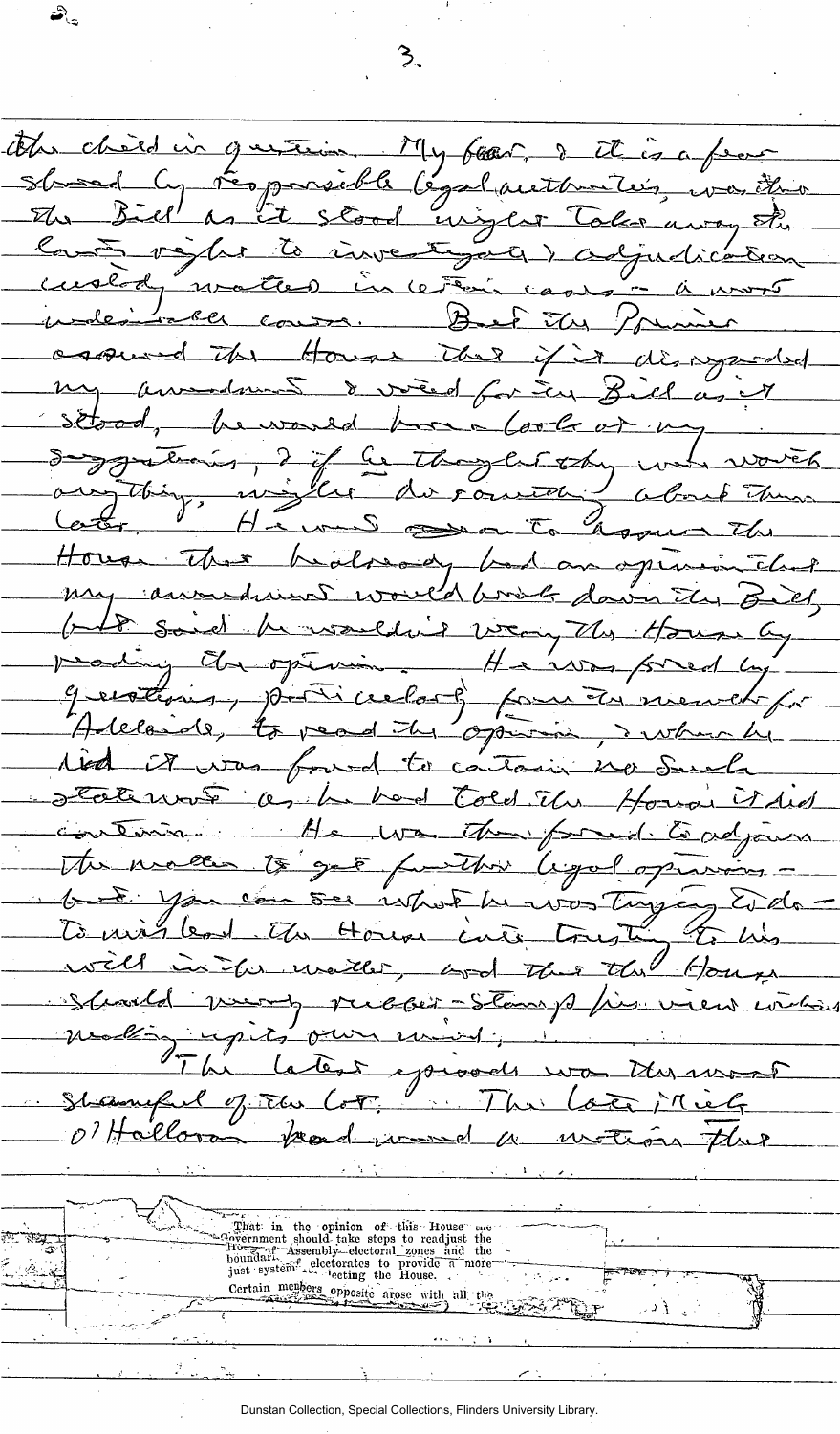the chief in guttin My fear this a fear sboad ly résponsible legal authorités, vaitre Sland Cy Contenigler la investigaci desgudica cuscod water  $\sim$ incera <u>ム</u>  $-\iota$  $rac{R_{\ell}}{R_{\ell}}$ Porumie ر<br><u>سع∽یت</u> 冯 كاسعه  $\mathbb{Z}_{\Delta}$ The House if it disagreeded the carried my amediant & vied for in Bill as setood, he would have look or  $\frac{1}{2}$ I if he thought the Say you thanks worren <u>Ilur</u> du comment wy things  $\rightarrow$ about The Espace the Carter  $\overline{\mathcal{J}}$  $H - \omega$  $\Rightarrow$  $\sigma$ <u>en </u> House There healsondy intel  $\sqrt{\phantom{a}}$  $\alpha$ megar my as andried would brook dawn the B It said humalding way the House pearling dragterin. Haiwas fored genetimes, posti celor 8 pour  $\sqrt{2}$ Alelaide, to read the opening red it was found to cartain no <u>لۍ</u> Fate wat as he had Told Eli Houa Ided  $H$ e  $w$ Endjames rteina The fore to get function ligal open The measure See is hot he was Tay  $\frac{1}{2}$ To mis lead The House cuts Longt the House in the watter, hod well the way pubblic Stans phis. Stunda impets our <u>a 145</u> La text episode  $7 - 6x$  $2\mu$ Shamped of The  $Ler.$  $\frac{1}{2}$ Einrel نحما 07 Hallorom bread <u>riversed</u> El Fa  $\mathcal{U}$ That in the opinion of this House one of the covernment should take steps to readjust the boundari Theory of the steps in the pust system. The steps in the steps in the steps of the steps of Cartain members  $\alpha$ . Certain members opposite arose with all the  $\gamma$  ,  $\gamma$  ,  $\Gamma$ 

3.

 $\mathbf{z}^{\mathcal{B}}$ 

Dunstan Collection, Special Collections, Flinders University Library.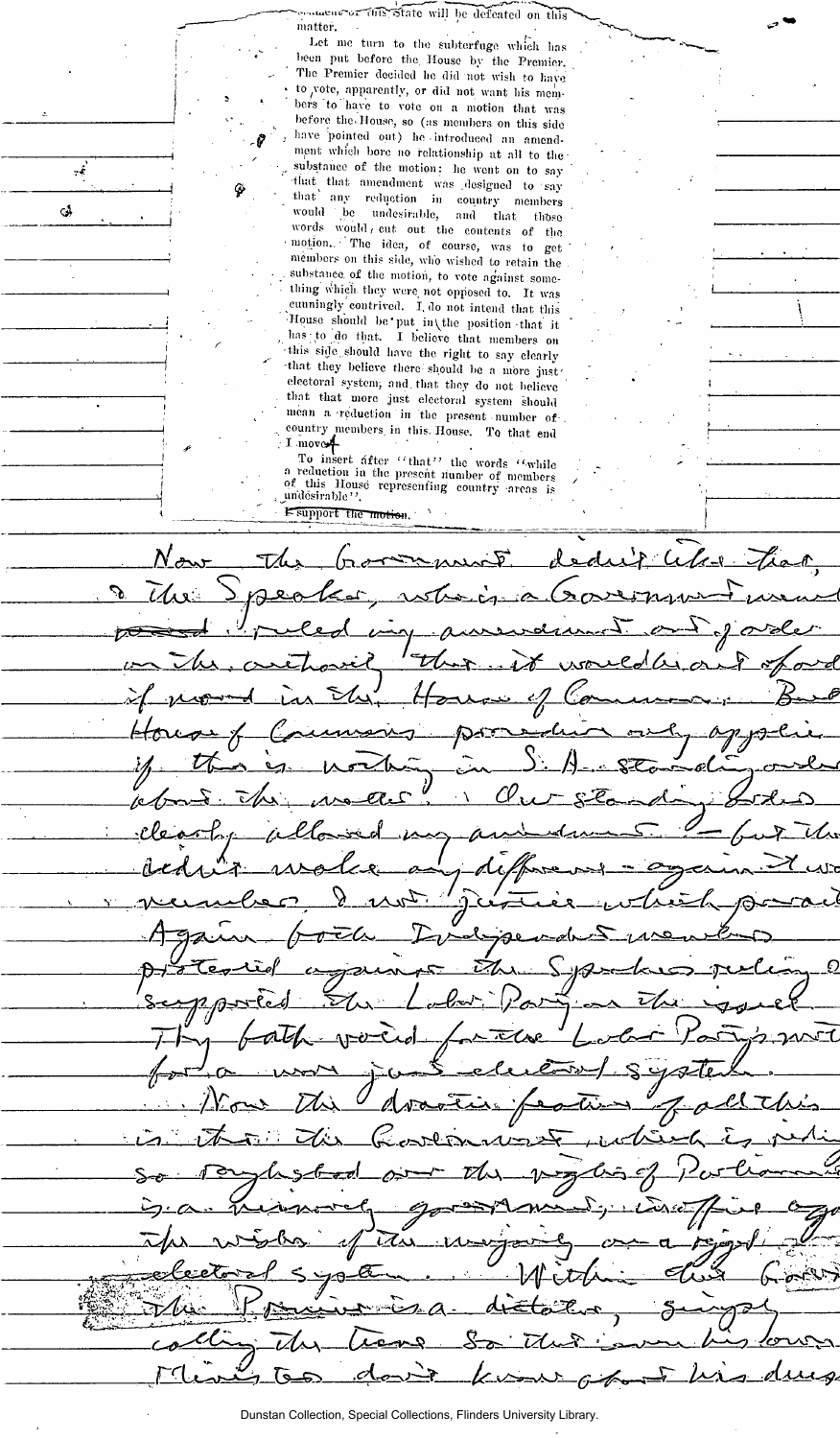..u.eitk-or-fiaS'Sfoto will be defeated 011 this matter.

Let me turn to the subterfuge which has been put before the House by the Premier. The Premier decided he did not wish to have to vote, apparently, or did not want his members to have to vote on a motion that was before the. House, so (as members on this side have pointed out) he introduced an amendment which bore no relationship at all to the substance of the motion: he went on to say -that^ that amendment was designed to say that any reduction in country members would be undesirable, and that those words would, cut out the contents of the • motion.. •" The idea, of course, was to get ' members on this side, who wished to retain the substance, of the motion, to vote against something which, they were not opposed to. It was cunningly contrived. I, do not intend that this House should be'put in the position that it , has ; to do that. I believe that members on •this side.should have the right to say clearly -that they believe there should lie a more just' electoral system, and that they do not believe that that more just electoral system should mean a reduction in the present number of-. . country members, in this. House. To that end  $\cdot$  I move.

 $\pm \hat{e}$ 

 $\mathbf{G}$ 

To insert after "that" the words "while<br>
a reduction in the present number of members<br>
of this House representing country areas is<br>
undesirable"

I-support the motion.  $N$ aw The 飞 حیلہ  $F\omega$  $\sqrt{n}$ ماج  $\mathcal{C}$  $R_{20}$ *7; 7 J/* Union en Mortunian CV € I  $\sqrt{\hat{c}}$ ے ک نتهنج Ω Š. τ து <u>-من=به</u> ב  $\Omega$ *IIjuJL^—\**  — *^ r* ——— */ A c*  مہیرے  $\iota$ فسراني تباييه А *'miMd^Mi i*   $\mathcal{C}_{t-1}$  $\overline{L}$ —»—*n* 

Dunstan Collection, Special Collections, Flinders University Library.

or x